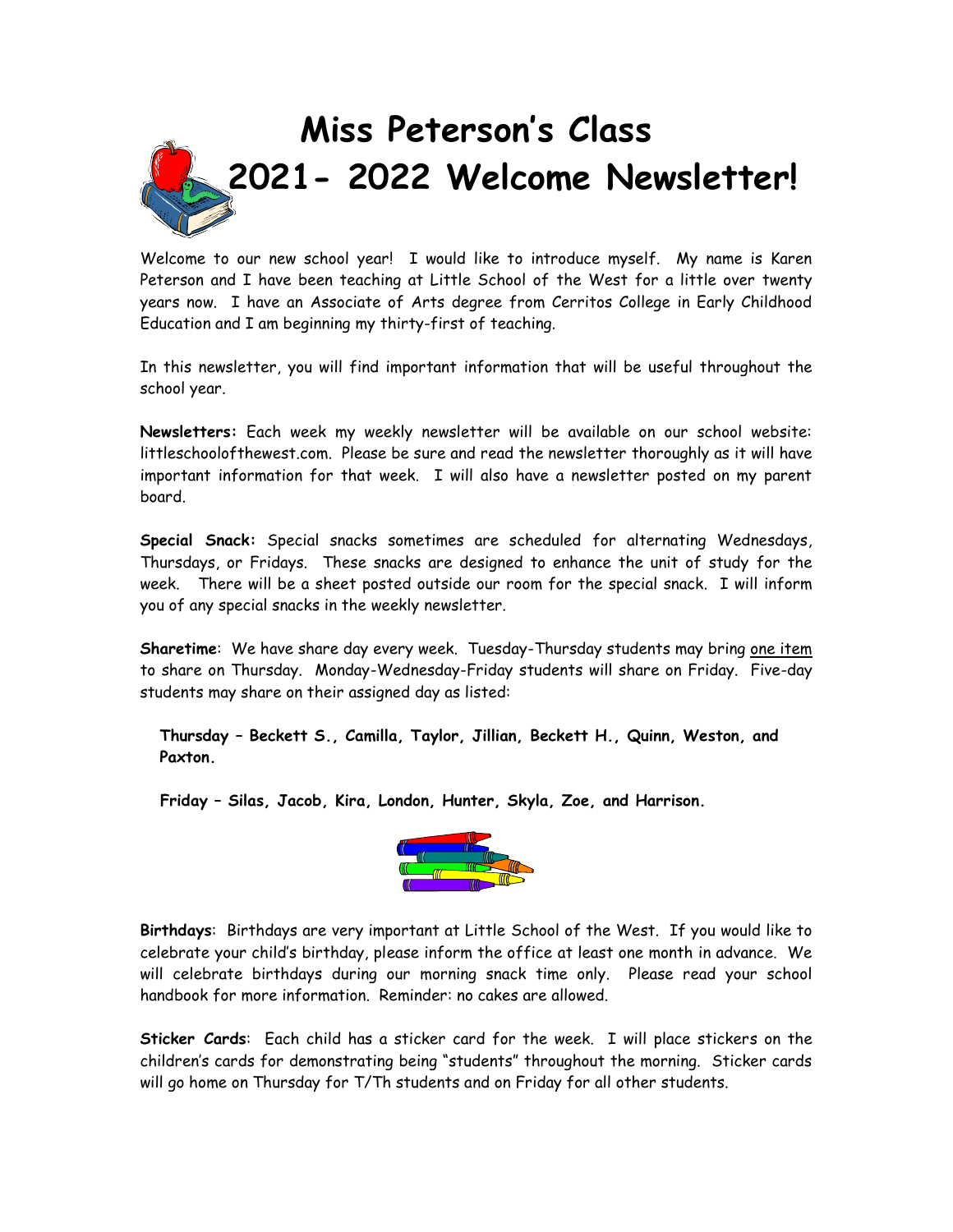

Welcome to our new school year! I would like to introduce myself. My name is Karen Peterson and I have been teaching at Little School of the West for a little over twenty years now. I have an Associate of Arts degree from Cerritos College in Early Childhood Education and I am beginning my thirty-first of teaching.

In this newsletter, you will find important information that will be useful throughout the school year.

**Newsletters:** Each week my weekly newsletter will be available on our school website: littleschoolofthewest.com. Please be sure and read the newsletter thoroughly as it will have important information for that week. I will also have a newsletter posted on my parent board.

**Special Snack:** Special snacks sometimes are scheduled for alternating Wednesdays, Thursdays, or Fridays. These snacks are designed to enhance the unit of study for the week. There will be a sheet posted outside our room for the special snack. I will inform you of any special snacks in the weekly newsletter.

**Sharetime**: We have share day every week. Tuesday-Thursday students may bring one item to share on Thursday. Monday-Wednesday-Friday students will share on Friday. Five-day students may share on their assigned day as listed:

**Thursday – Beckett S., Camilla, Taylor, Jillian, Beckett H., Quinn, Weston, and Paxton.**

 **Friday – Silas, Jacob, Kira, London, Hunter, Skyla, Zoe, and Harrison.**



**Birthdays**: Birthdays are very important at Little School of the West. If you would like to celebrate your child's birthday, please inform the office at least one month in advance. We will celebrate birthdays during our morning snack time only. Please read your school handbook for more information. Reminder: no cakes are allowed.

**Sticker Cards**: Each child has a sticker card for the week. I will place stickers on the children's cards for demonstrating being "students" throughout the morning. Sticker cards will go home on Thursday for T/Th students and on Friday for all other students.